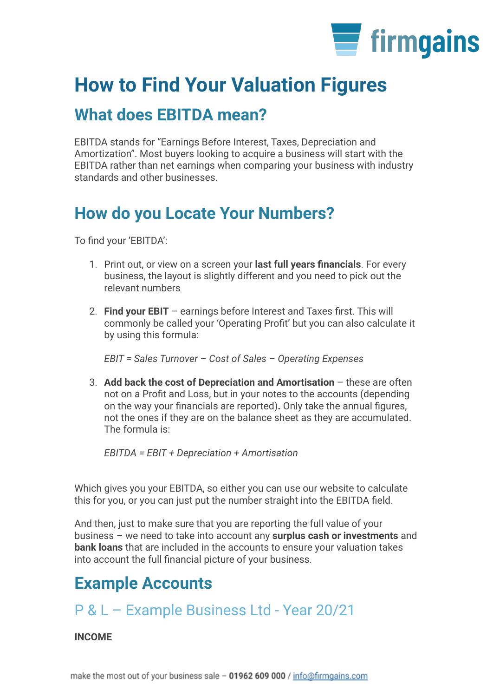

# **How to Find Your Valuation Figures**

### **What does EBITDA mean?**

EBITDA stands for "Earnings Before Interest, Taxes, Depreciation and Amortization". Most buyers looking to acquire a business will start with the EBITDA rather than net earnings when comparing your business with industry standards and other businesses.

## **How do you Locate Your Numbers?**

To find your 'EBITDA':

- 1. Print out, or view on a screen your **last full years financials**. For every business, the layout is slightly different and you need to pick out the relevant numbers
- 2. **Find your EBIT** earnings before Interest and Taxes first. This will commonly be called your 'Operating Profit' but you can also calculate it by using this formula:

*EBIT = Sales Turnover – Cost of Sales – Operating Expenses*

3. **Add back the cost of Depreciation and Amortisation** – these are often not on a Profit and Loss, but in your notes to the accounts (depending on the way your financials are reported)**.** Only take the annual figures, not the ones if they are on the balance sheet as they are accumulated. The formula is:

*EBITDA = EBIT + Depreciation + Amortisation*

Which gives you your EBITDA, so either you can use our website to calculate this for you, or you can just put the number straight into the EBITDA field.

And then, just to make sure that you are reporting the full value of your business – we need to take into account any **surplus cash or investments** and **bank loans** that are included in the accounts to ensure your valuation takes into account the full financial picture of your business.

## **Example Accounts**

#### P & L – Example Business Ltd - Year 20/21

#### **INCOME**

make the most out of your business sale - 01962 609 000 / info@firmgains.com